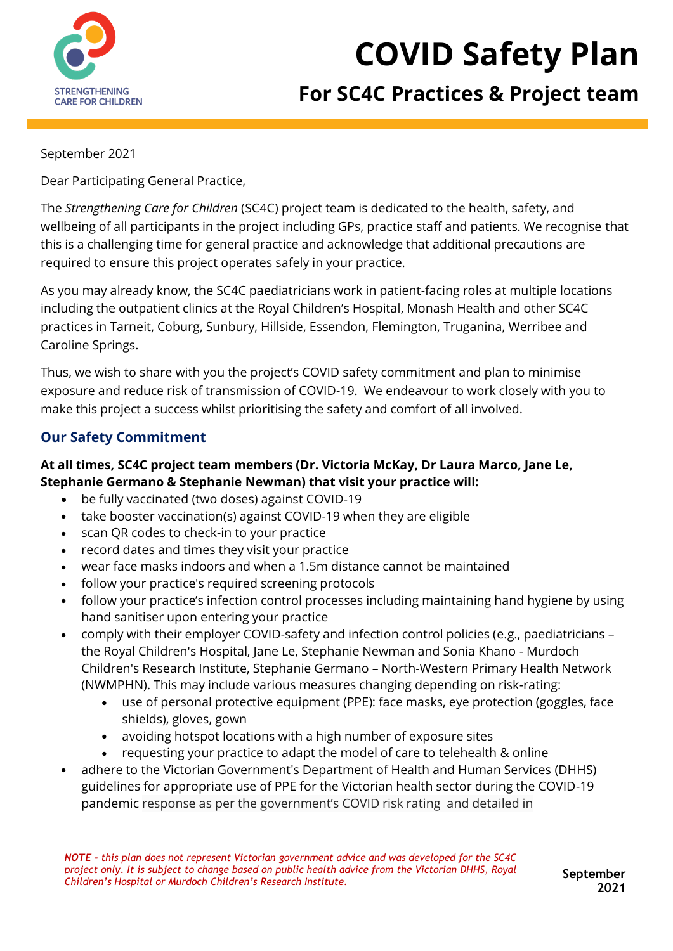

# **COVID Safety Plan**

# **For SC4C Practices & Project team**

#### September 2021

Dear Participating General Practice,

The *Strengthening Care for Children* (SC4C) project team is dedicated to the health, safety, and wellbeing of all participants in the project including GPs, practice staff and patients. We recognise that this is a challenging time for general practice and acknowledge that additional precautions are required to ensure this project operates safely in your practice.

As you may already know, the SC4C paediatricians work in patient-facing roles at multiple locations including the outpatient clinics at the Royal Children's Hospital, Monash Health and other SC4C practices in Tarneit, Coburg, Sunbury, Hillside, Essendon, Flemington, Truganina, Werribee and Caroline Springs.

Thus, we wish to share with you the project's COVID safety commitment and plan to minimise exposure and reduce risk of transmission of COVID-19. We endeavour to work closely with you to make this project a success whilst prioritising the safety and comfort of all involved.

## **Our Safety Commitment**

#### **At all times, SC4C project team members (Dr. Victoria McKay, Dr Laura Marco, Jane Le, Stephanie Germano & Stephanie Newman) that visit your practice will:**

- be fully vaccinated (two doses) against COVID-19
- take booster vaccination(s) against COVID-19 when they are eligible
- scan QR codes to check-in to your practice
- record dates and times they visit your practice
- wear face masks indoors and when a 1.5m distance cannot be maintained
- follow your practice's required screening protocols
- follow your practice's infection control processes including maintaining hand hygiene by using hand sanitiser upon entering your practice
- comply with their employer COVID-safety and infection control policies (e.g., paediatricians the Royal Children's Hospital, Jane Le, Stephanie Newman and Sonia Khano - Murdoch Children's Research Institute, Stephanie Germano – North-Western Primary Health Network (NWMPHN). This may include various measures changing depending on risk-rating:
	- use of personal protective equipment (PPE): face masks, eye protection (goggles, face shields), gloves, gown
	- avoiding hotspot locations with a high number of exposure sites
	- requesting your practice to adapt the model of care to telehealth & online
- adhere to the Victorian Government's Department of Health and Human Services (DHHS) guidelines for appropriate use of PPE for the Victorian health sector during the COVID-19 pandemic response as per the government's COVID risk rating and detailed in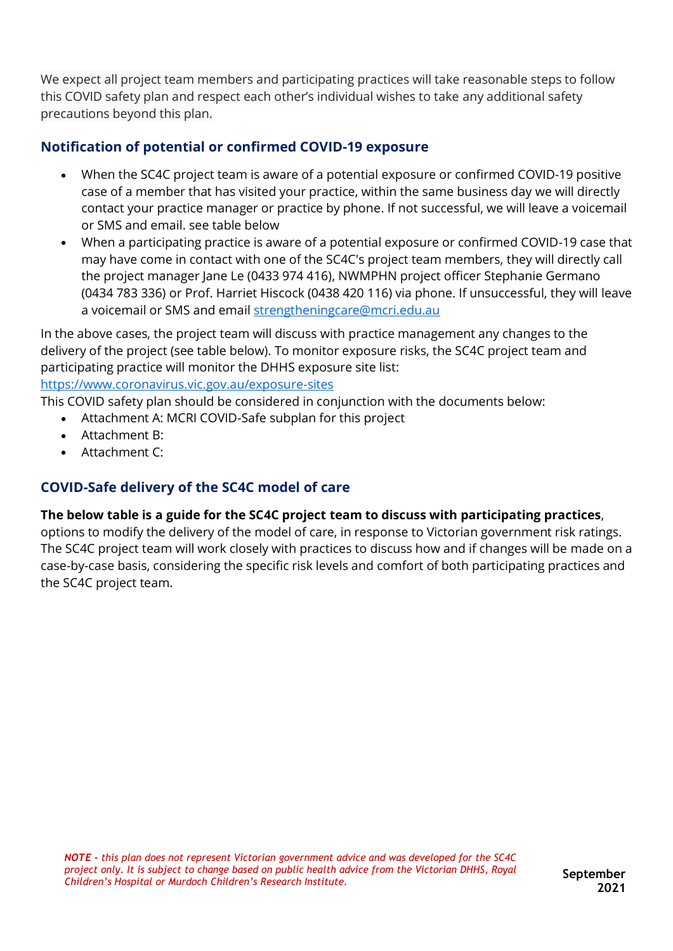We expect all project team members and participating practices will take reasonable steps to follow this COVID safety plan and respect each other's individual wishes to take any additional safety precautions beyond this plan.

# **Notification of potential or confirmed COVID-19 exposure**

- When the SC4C project team is aware of a potential exposure or confirmed COVID-19 positive case of a member that has visited your practice, within the same business day we will directly contact your practice manager or practice by phone. If not successful, we will leave a voicemail or SMS and email. see table below
- When a participating practice is aware of a potential exposure or confirmed COVID-19 case that may have come in contact with one of the SC4C's project team members, they will directly call the project manager Jane Le (0433 974 416), NWMPHN project officer Stephanie Germano (0434 783 336) or Prof. Harriet Hiscock (0438 420 116) via phone. If unsuccessful, they will leave a voicemail or SMS and email [strengtheningcare@mcri.edu.au](mailto:strenghtheningcare@mcri.edu.au)

In the above cases, the project team will discuss with practice management any changes to the delivery of the project (see table below). To monitor exposure risks, the SC4C project team and participating practice will monitor the DHHS exposure site list:

#### <https://www.coronavirus.vic.gov.au/exposure-sites>

This COVID safety plan should be considered in conjunction with the documents below:

- Attachment A: MCRI COVID-Safe subplan for this project
- Attachment B:
- Attachment C:

## **COVID-Safe delivery of the SC4C model of care**

#### **The below table is a guide for the SC4C project team to discuss with participating practices**,

options to modify the delivery of the model of care, in response to Victorian government risk ratings. The SC4C project team will work closely with practices to discuss how and if changes will be made on a case-by-case basis, considering the specific risk levels and comfort of both participating practices and the SC4C project team.